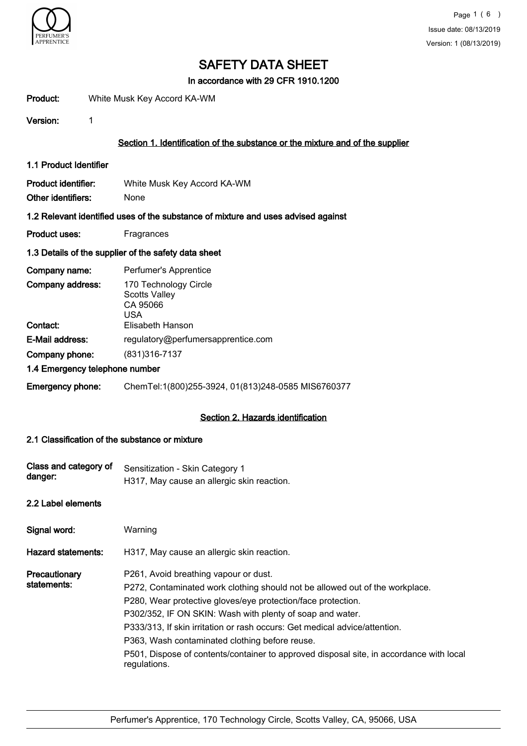

In accordance with 29 CFR 1910.1200

| Product: | White Musk Key Accord KA-WM |
|----------|-----------------------------|
|          |                             |

Version: 1

## Section 1. Identification of the substance or the mixture and of the supplier

1.1 Product Identifier

| Product identifier: | White Musk Key Accord KA-WM |
|---------------------|-----------------------------|
| Other identifiers:  | None                        |

### 1.2 Relevant identified uses of the substance of mixture and uses advised against

Product uses: Fragrances

## 1.3 Details of the supplier of the safety data sheet

| Company name:                  | Perfumer's Apprentice                                                   |
|--------------------------------|-------------------------------------------------------------------------|
| Company address:               | 170 Technology Circle<br><b>Scotts Valley</b><br>CA 95066<br><b>USA</b> |
| Contact:                       | Elisabeth Hanson                                                        |
| E-Mail address:                | regulatory@perfumersapprentice.com                                      |
| Company phone:                 | (831) 316-7137                                                          |
| 1.4 Emergency telephone number |                                                                         |
| <b>Emergency phone:</b>        | ChemTel:1(800)255-3924, 01(813)248-0585 MIS6760377                      |

# Section 2. Hazards identification

### 2.1 Classification of the substance or mixture

| Class and category of<br>danger: | Sensitization - Skin Category 1<br>H317, May cause an allergic skin reaction.                                                                                                                                                                                                                                                                                                                                                                                                                 |
|----------------------------------|-----------------------------------------------------------------------------------------------------------------------------------------------------------------------------------------------------------------------------------------------------------------------------------------------------------------------------------------------------------------------------------------------------------------------------------------------------------------------------------------------|
| 2.2 Label elements               |                                                                                                                                                                                                                                                                                                                                                                                                                                                                                               |
| Signal word:                     | Warning                                                                                                                                                                                                                                                                                                                                                                                                                                                                                       |
| <b>Hazard statements:</b>        | H317, May cause an allergic skin reaction.                                                                                                                                                                                                                                                                                                                                                                                                                                                    |
| Precautionary<br>statements:     | P261, Avoid breathing vapour or dust.<br>P272, Contaminated work clothing should not be allowed out of the workplace.<br>P280, Wear protective gloves/eye protection/face protection.<br>P302/352, IF ON SKIN: Wash with plenty of soap and water.<br>P333/313, If skin irritation or rash occurs: Get medical advice/attention.<br>P363, Wash contaminated clothing before reuse.<br>P501, Dispose of contents/container to approved disposal site, in accordance with local<br>regulations. |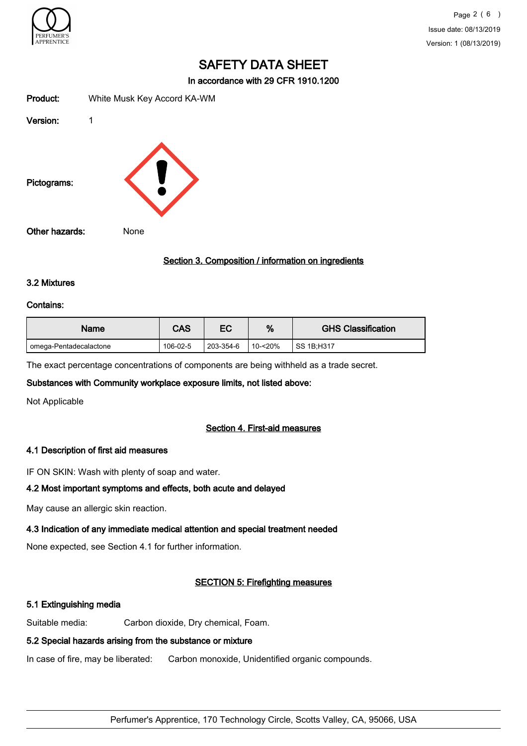

In accordance with 29 CFR 1910.1200

| Product:       | White Musk Key Accord KA-WM |
|----------------|-----------------------------|
| Version:       | 1                           |
| Pictograms:    |                             |
| Other hazards: | None                        |

### Section 3. Composition / information on ingredients

#### 3.2 Mixtures

#### Contains:

| Name                   | <b>CAS</b> | ЕC        | %           | <b>GHS Classification</b> |
|------------------------|------------|-----------|-------------|---------------------------|
| omega-Pentadecalactone | 106-02-5   | 203-354-6 | $10 - 20\%$ | SS 1B:H317                |

The exact percentage concentrations of components are being withheld as a trade secret.

### Substances with Community workplace exposure limits, not listed above:

Not Applicable

### Section 4. First-aid measures

### 4.1 Description of first aid measures

IF ON SKIN: Wash with plenty of soap and water.

### 4.2 Most important symptoms and effects, both acute and delayed

May cause an allergic skin reaction.

# 4.3 Indication of any immediate medical attention and special treatment needed

None expected, see Section 4.1 for further information.

# SECTION 5: Firefighting measures

# 5.1 Extinguishing media

Suitable media: Carbon dioxide, Dry chemical, Foam.

# 5.2 Special hazards arising from the substance or mixture

In case of fire, may be liberated: Carbon monoxide, Unidentified organic compounds.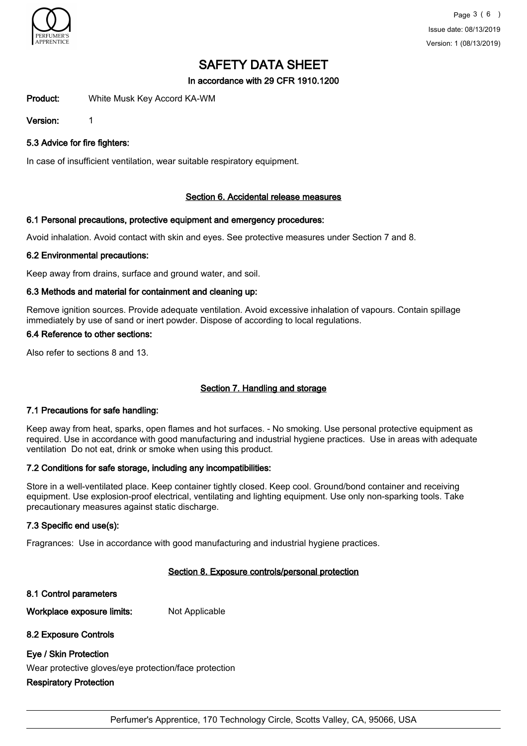

In accordance with 29 CFR 1910.1200

Product: White Musk Key Accord KA-WM

Version: 1

5.3 Advice for fire fighters:

In case of insufficient ventilation, wear suitable respiratory equipment.

## Section 6. Accidental release measures

## 6.1 Personal precautions, protective equipment and emergency procedures:

Avoid inhalation. Avoid contact with skin and eyes. See protective measures under Section 7 and 8.

## 6.2 Environmental precautions:

Keep away from drains, surface and ground water, and soil.

## 6.3 Methods and material for containment and cleaning up:

Remove ignition sources. Provide adequate ventilation. Avoid excessive inhalation of vapours. Contain spillage immediately by use of sand or inert powder. Dispose of according to local regulations.

## 6.4 Reference to other sections:

Also refer to sections 8 and 13.

# Section 7. Handling and storage

### 7.1 Precautions for safe handling:

Keep away from heat, sparks, open flames and hot surfaces. - No smoking. Use personal protective equipment as required. Use in accordance with good manufacturing and industrial hygiene practices. Use in areas with adequate ventilation Do not eat, drink or smoke when using this product.

### 7.2 Conditions for safe storage, including any incompatibilities:

Store in a well-ventilated place. Keep container tightly closed. Keep cool. Ground/bond container and receiving equipment. Use explosion-proof electrical, ventilating and lighting equipment. Use only non-sparking tools. Take precautionary measures against static discharge.

# 7.3 Specific end use(s):

Fragrances: Use in accordance with good manufacturing and industrial hygiene practices.

# Section 8. Exposure controls/personal protection

8.1 Control parameters

Workplace exposure limits: Not Applicable

# 8.2 Exposure Controls

# Eye / Skin Protection

Wear protective gloves/eye protection/face protection

# Respiratory Protection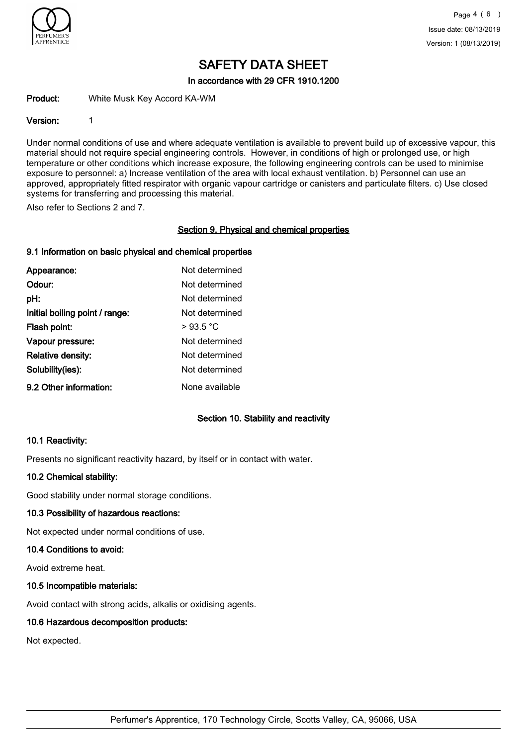

In accordance with 29 CFR 1910.1200

Product: White Musk Key Accord KA-WM

## Version: 1

Under normal conditions of use and where adequate ventilation is available to prevent build up of excessive vapour, this material should not require special engineering controls. However, in conditions of high or prolonged use, or high temperature or other conditions which increase exposure, the following engineering controls can be used to minimise exposure to personnel: a) Increase ventilation of the area with local exhaust ventilation. b) Personnel can use an approved, appropriately fitted respirator with organic vapour cartridge or canisters and particulate filters. c) Use closed systems for transferring and processing this material.

Also refer to Sections 2 and 7.

## Section 9. Physical and chemical properties

# 9.1 Information on basic physical and chemical properties

| Appearance:                    | Not determined |
|--------------------------------|----------------|
| Odour:                         | Not determined |
| pH:                            | Not determined |
| Initial boiling point / range: | Not determined |
| Flash point:                   | >93.5 °C       |
| Vapour pressure:               | Not determined |
| <b>Relative density:</b>       | Not determined |
| Solubility(ies):               | Not determined |
| 9.2 Other information:         | None available |

# Section 10. Stability and reactivity

### 10.1 Reactivity:

Presents no significant reactivity hazard, by itself or in contact with water.

### 10.2 Chemical stability:

Good stability under normal storage conditions.

### 10.3 Possibility of hazardous reactions:

Not expected under normal conditions of use.

### 10.4 Conditions to avoid:

Avoid extreme heat.

### 10.5 Incompatible materials:

Avoid contact with strong acids, alkalis or oxidising agents.

# 10.6 Hazardous decomposition products:

Not expected.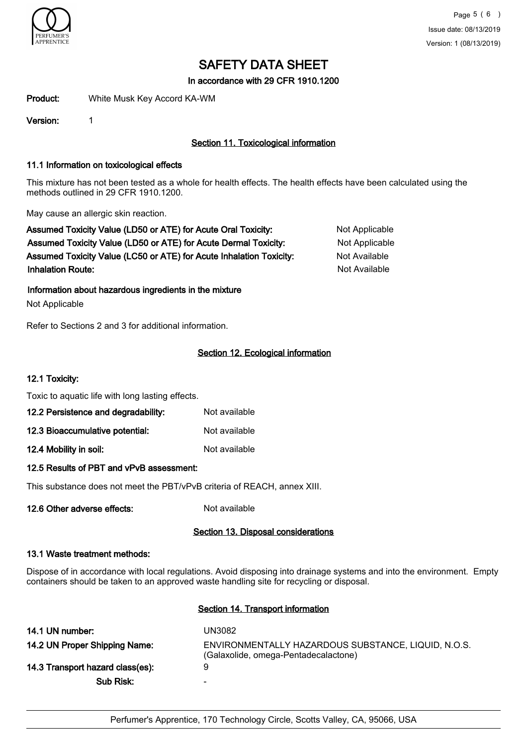

In accordance with 29 CFR 1910.1200

Product: White Musk Key Accord KA-WM

Version: 1

# Section 11. Toxicological information

### 11.1 Information on toxicological effects

This mixture has not been tested as a whole for health effects. The health effects have been calculated using the methods outlined in 29 CFR 1910.1200.

May cause an allergic skin reaction.

Assumed Toxicity Value (LD50 or ATE) for Acute Oral Toxicity: Not Applicable Assumed Toxicity Value (LD50 or ATE) for Acute Dermal Toxicity: Not Applicable Assumed Toxicity Value (LC50 or ATE) for Acute Inhalation Toxicity: Not Available **Inhalation Route:** Not Available in the United States of Available in the United States of Available in the United States of Available in the United States of Available in the United States of Available in the United Stat

Information about hazardous ingredients in the mixture

Not Applicable

Refer to Sections 2 and 3 for additional information.

# Section 12. Ecological information

### 12.1 Toxicity:

Toxic to aquatic life with long lasting effects.

| 12.2 Persistence and degradability: | Not available |
|-------------------------------------|---------------|
| 12.3 Bioaccumulative potential:     | Not available |

12.4 Mobility in soil: Not available

### 12.5 Results of PBT and vPvB assessment:

This substance does not meet the PBT/vPvB criteria of REACH, annex XIII.

12.6 Other adverse effects: Not available

# Section 13. Disposal considerations

### 13.1 Waste treatment methods:

Dispose of in accordance with local regulations. Avoid disposing into drainage systems and into the environment. Empty containers should be taken to an approved waste handling site for recycling or disposal.

### Section 14. Transport information

| 14.1 UN number:                  | UN3082                                                                                      |
|----------------------------------|---------------------------------------------------------------------------------------------|
| 14.2 UN Proper Shipping Name:    | ENVIRONMENTALLY HAZARDOUS SUBSTANCE, LIQUID, N.O.S.<br>(Galaxolide, omega-Pentadecalactone) |
| 14.3 Transport hazard class(es): | 9                                                                                           |
| Sub Risk:                        | $\overline{\phantom{0}}$                                                                    |